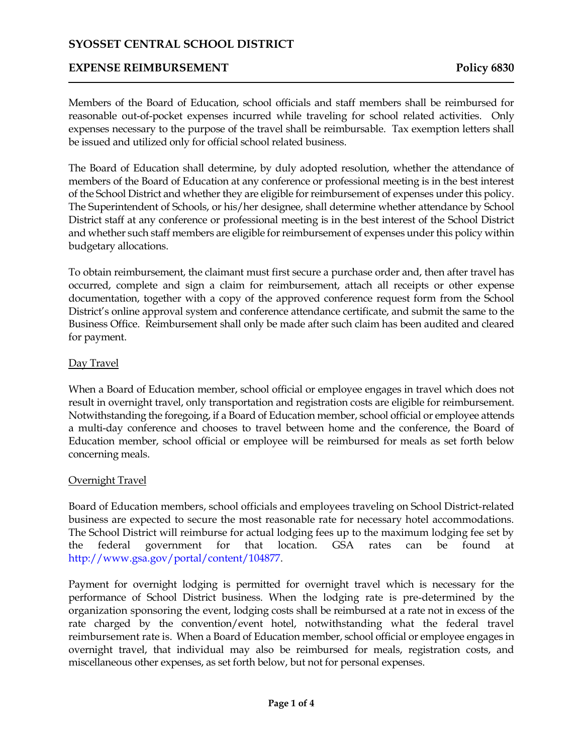## **EXPENSE REIMBURSEMENT Policy 6830**

Members of the Board of Education, school officials and staff members shall be reimbursed for reasonable out-of-pocket expenses incurred while traveling for school related activities. Only expenses necessary to the purpose of the travel shall be reimbursable. Tax exemption letters shall be issued and utilized only for official school related business.

The Board of Education shall determine, by duly adopted resolution, whether the attendance of members of the Board of Education at any conference or professional meeting is in the best interest of the School District and whether they are eligible for reimbursement of expenses under this policy. The Superintendent of Schools, or his/her designee, shall determine whether attendance by School District staff at any conference or professional meeting is in the best interest of the School District and whether such staff members are eligible for reimbursement of expenses under this policy within budgetary allocations.

To obtain reimbursement, the claimant must first secure a purchase order and, then after travel has occurred, complete and sign a claim for reimbursement, attach all receipts or other expense documentation, together with a copy of the approved conference request form from the School District's online approval system and conference attendance certificate, and submit the same to the Business Office. Reimbursement shall only be made after such claim has been audited and cleared for payment.

## Day Travel

When a Board of Education member, school official or employee engages in travel which does not result in overnight travel, only transportation and registration costs are eligible for reimbursement. Notwithstanding the foregoing, if a Board of Education member, school official or employee attends a multi-day conference and chooses to travel between home and the conference, the Board of Education member, school official or employee will be reimbursed for meals as set forth below concerning meals.

### Overnight Travel

Board of Education members, school officials and employees traveling on School District-related business are expected to secure the most reasonable rate for necessary hotel accommodations. The School District will reimburse for actual lodging fees up to the maximum lodging fee set by the federal government for that location. GSA rates can be found at http://www.gsa.gov/portal/content/104877.

Payment for overnight lodging is permitted for overnight travel which is necessary for the performance of School District business. When the lodging rate is pre-determined by the organization sponsoring the event, lodging costs shall be reimbursed at a rate not in excess of the rate charged by the convention/event hotel, notwithstanding what the federal travel reimbursement rate is. When a Board of Education member, school official or employee engages in overnight travel, that individual may also be reimbursed for meals, registration costs, and miscellaneous other expenses, as set forth below, but not for personal expenses.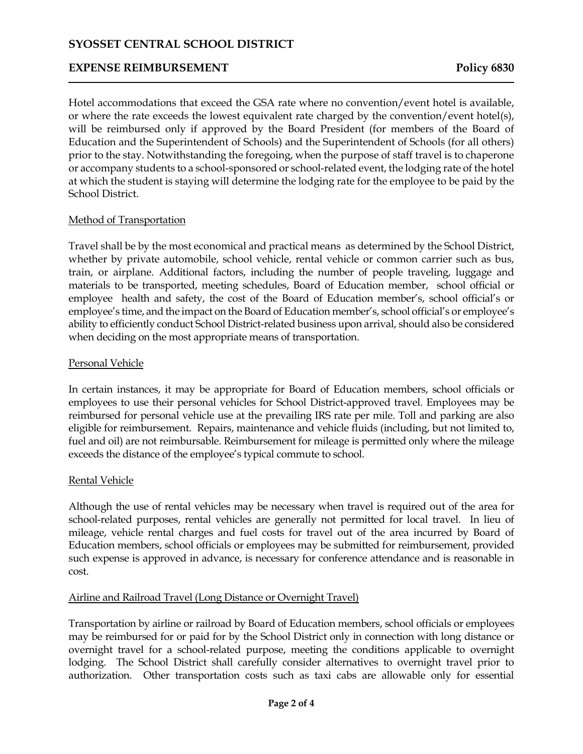## **EXPENSE REIMBURSEMENT Policy 6830**

Hotel accommodations that exceed the GSA rate where no convention/event hotel is available, or where the rate exceeds the lowest equivalent rate charged by the convention/event hotel(s), will be reimbursed only if approved by the Board President (for members of the Board of Education and the Superintendent of Schools) and the Superintendent of Schools (for all others) prior to the stay. Notwithstanding the foregoing, when the purpose of staff travel is to chaperone or accompany students to a school-sponsored or school-related event, the lodging rate of the hotel at which the student is staying will determine the lodging rate for the employee to be paid by the School District.

### Method of Transportation

Travel shall be by the most economical and practical means as determined by the School District, whether by private automobile, school vehicle, rental vehicle or common carrier such as bus, train, or airplane. Additional factors, including the number of people traveling, luggage and materials to be transported, meeting schedules, Board of Education member, school official or employee health and safety, the cost of the Board of Education member's, school official's or employee's time, and the impact on the Board of Education member's, school official's or employee's ability to efficiently conduct School District-related business upon arrival, should also be considered when deciding on the most appropriate means of transportation.

## Personal Vehicle

In certain instances, it may be appropriate for Board of Education members, school officials or employees to use their personal vehicles for School District-approved travel. Employees may be reimbursed for personal vehicle use at the prevailing IRS rate per mile. Toll and parking are also eligible for reimbursement. Repairs, maintenance and vehicle fluids (including, but not limited to, fuel and oil) are not reimbursable. Reimbursement for mileage is permitted only where the mileage exceeds the distance of the employee's typical commute to school.

## Rental Vehicle

Although the use of rental vehicles may be necessary when travel is required out of the area for school-related purposes, rental vehicles are generally not permitted for local travel. In lieu of mileage, vehicle rental charges and fuel costs for travel out of the area incurred by Board of Education members, school officials or employees may be submitted for reimbursement, provided such expense is approved in advance, is necessary for conference attendance and is reasonable in cost.

### Airline and Railroad Travel (Long Distance or Overnight Travel)

Transportation by airline or railroad by Board of Education members, school officials or employees may be reimbursed for or paid for by the School District only in connection with long distance or overnight travel for a school-related purpose, meeting the conditions applicable to overnight lodging. The School District shall carefully consider alternatives to overnight travel prior to authorization. Other transportation costs such as taxi cabs are allowable only for essential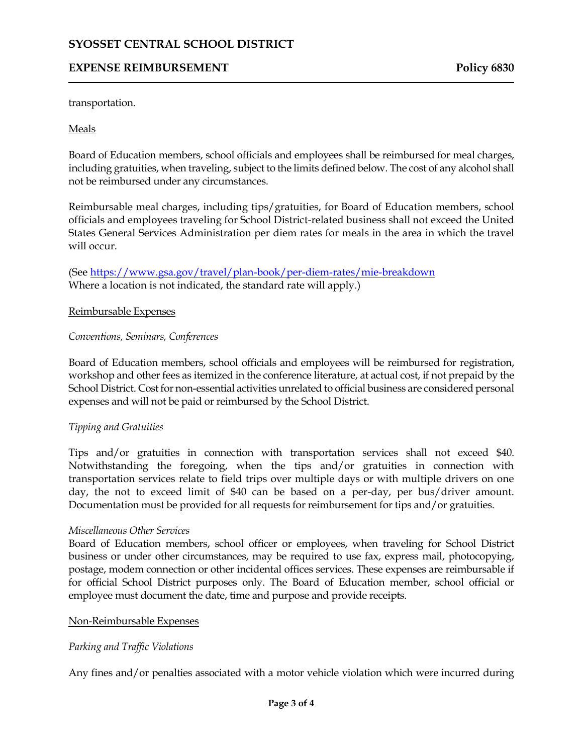## **EXPENSE REIMBURSEMENT Policy 6830**

transportation.

## Meals

Board of Education members, school officials and employees shall be reimbursed for meal charges, including gratuities, when traveling, subject to the limits defined below. The cost of any alcohol shall not be reimbursed under any circumstances.

Reimbursable meal charges, including tips/gratuities, for Board of Education members, school officials and employees traveling for School District-related business shall not exceed the United States General Services Administration per diem rates for meals in the area in which the travel will occur.

(Se[e https://www.gsa.gov/travel/plan-book/per-diem-rates/mie-breakdown](https://www.gsa.gov/travel/plan-book/per-diem-rates/mie-breakdown) Where a location is not indicated, the standard rate will apply.)

### Reimbursable Expenses

### *Conventions, Seminars, Conferences*

Board of Education members, school officials and employees will be reimbursed for registration, workshop and other fees as itemized in the conference literature, at actual cost, if not prepaid by the School District. Cost for non-essential activities unrelated to official business are considered personal expenses and will not be paid or reimbursed by the School District.

## *Tipping and Gratuities*

Tips and/or gratuities in connection with transportation services shall not exceed \$40. Notwithstanding the foregoing, when the tips and/or gratuities in connection with transportation services relate to field trips over multiple days or with multiple drivers on one day, the not to exceed limit of \$40 can be based on a per-day, per bus/driver amount. Documentation must be provided for all requests for reimbursement for tips and/or gratuities.

### *Miscellaneous Other Services*

Board of Education members, school officer or employees, when traveling for School District business or under other circumstances, may be required to use fax, express mail, photocopying, postage, modem connection or other incidental offices services. These expenses are reimbursable if for official School District purposes only. The Board of Education member, school official or employee must document the date, time and purpose and provide receipts.

### Non-Reimbursable Expenses

## *Parking and Traffic Violations*

Any fines and/or penalties associated with a motor vehicle violation which were incurred during